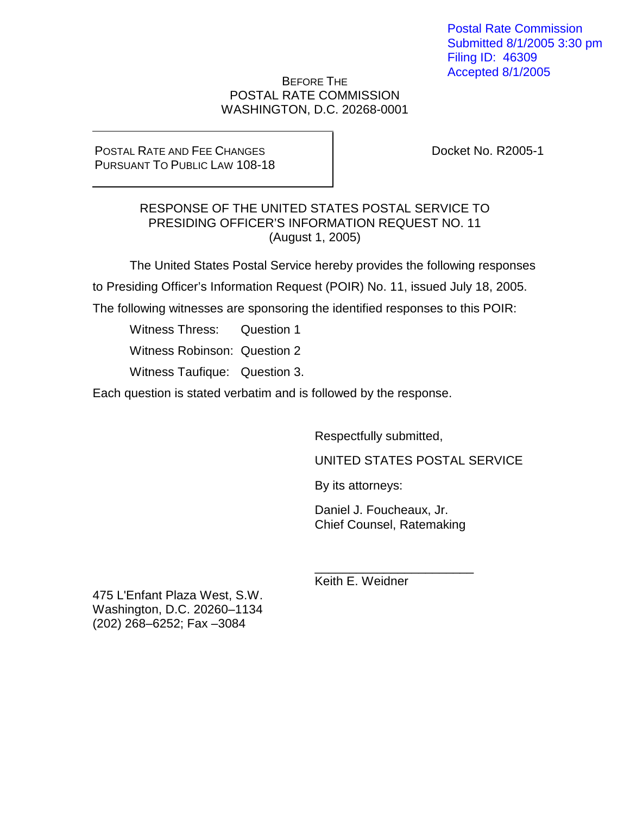Postal Rate Commission Submitted 8/1/2005 3:30 pm Filing ID: 46309 Accepted 8/1/2005

### BEFORE THE POSTAL RATE COMMISSION WASHINGTON, D.C. 20268-0001

POSTAL RATE AND FEE CHANGES PURSUANT TO PUBLIC LAW 108-18 Docket No. R2005-1

# RESPONSE OF THE UNITED STATES POSTAL SERVICE TO PRESIDING OFFICER'S INFORMATION REQUEST NO. 11 (August 1, 2005)

The United States Postal Service hereby provides the following responses to Presiding Officer's Information Request (POIR) No. 11, issued July 18, 2005.

The following witnesses are sponsoring the identified responses to this POIR:

Witness Thress: Question 1

Witness Robinson: Question 2

Witness Taufique: Question 3.

Each question is stated verbatim and is followed by the response.

Respectfully submitted,

UNITED STATES POSTAL SERVICE

By its attorneys:

Daniel J. Foucheaux, Jr. Chief Counsel, Ratemaking

\_\_\_\_\_\_\_\_\_\_\_\_\_\_\_\_\_\_\_\_\_\_\_

Keith E. Weidner

475 L'Enfant Plaza West, S.W. Washington, D.C. 20260–1134 (202) 268–6252; Fax –3084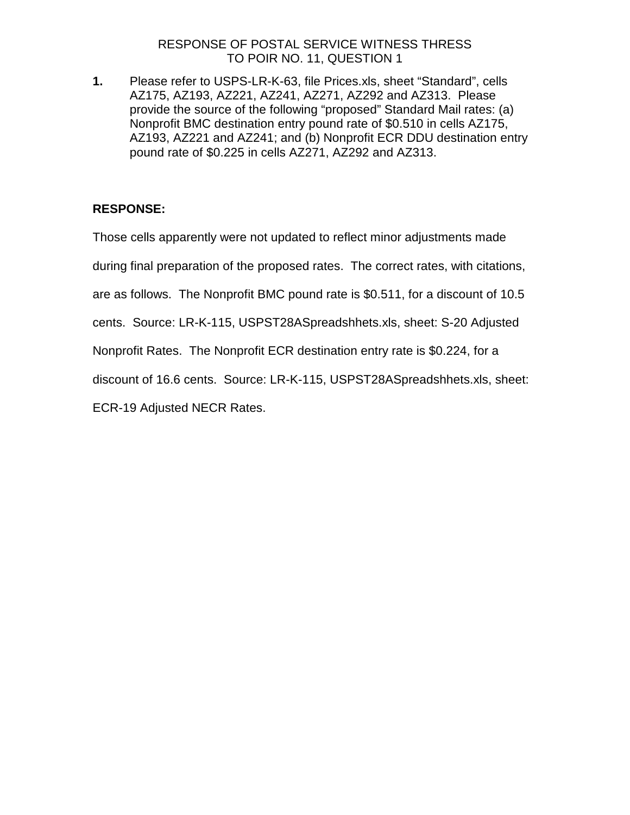# RESPONSE OF POSTAL SERVICE WITNESS THRESS TO POIR NO. 11, QUESTION 1

**1.** Please refer to USPS-LR-K-63, file Prices.xls, sheet "Standard", cells AZ175, AZ193, AZ221, AZ241, AZ271, AZ292 and AZ313. Please provide the source of the following "proposed" Standard Mail rates: (a) Nonprofit BMC destination entry pound rate of \$0.510 in cells AZ175, AZ193, AZ221 and AZ241; and (b) Nonprofit ECR DDU destination entry pound rate of \$0.225 in cells AZ271, AZ292 and AZ313.

# **RESPONSE:**

Those cells apparently were not updated to reflect minor adjustments made

during final preparation of the proposed rates. The correct rates, with citations,

are as follows. The Nonprofit BMC pound rate is \$0.511, for a discount of 10.5

cents. Source: LR-K-115, USPST28ASpreadshhets.xls, sheet: S-20 Adjusted

Nonprofit Rates. The Nonprofit ECR destination entry rate is \$0.224, for a

discount of 16.6 cents. Source: LR-K-115, USPST28ASpreadshhets.xls, sheet:

ECR-19 Adjusted NECR Rates.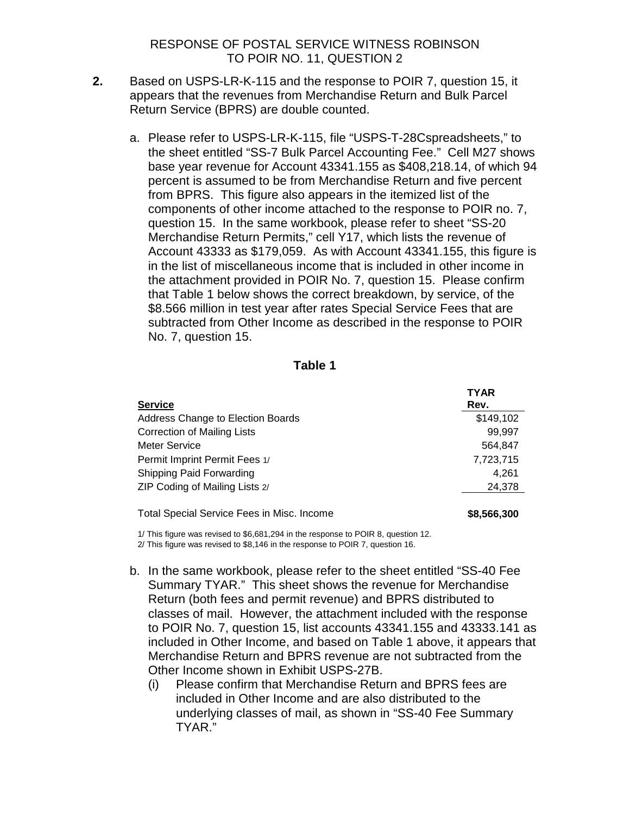### RESPONSE OF POSTAL SERVICE WITNESS ROBINSON TO POIR NO. 11, QUESTION 2

- **2.** Based on USPS-LR-K-115 and the response to POIR 7, question 15, it appears that the revenues from Merchandise Return and Bulk Parcel Return Service (BPRS) are double counted.
	- a. Please refer to USPS-LR-K-115, file "USPS-T-28Cspreadsheets," to the sheet entitled "SS-7 Bulk Parcel Accounting Fee." Cell M27 shows base year revenue for Account 43341.155 as \$408,218.14, of which 94 percent is assumed to be from Merchandise Return and five percent from BPRS. This figure also appears in the itemized list of the components of other income attached to the response to POIR no. 7, question 15. In the same workbook, please refer to sheet "SS-20 Merchandise Return Permits," cell Y17, which lists the revenue of Account 43333 as \$179,059. As with Account 43341.155, this figure is in the list of miscellaneous income that is included in other income in the attachment provided in POIR No. 7, question 15. Please confirm that Table 1 below shows the correct breakdown, by service, of the \$8.566 million in test year after rates Special Service Fees that are subtracted from Other Income as described in the response to POIR No. 7, question 15.

#### **Table 1**

|                                            | <b>TYAR</b> |
|--------------------------------------------|-------------|
| <b>Service</b>                             | Rev.        |
| Address Change to Election Boards          | \$149,102   |
| <b>Correction of Mailing Lists</b>         | 99.997      |
| Meter Service                              | 564,847     |
| Permit Imprint Permit Fees 1/              | 7,723,715   |
| Shipping Paid Forwarding                   | 4.261       |
| ZIP Coding of Mailing Lists 2/             | 24,378      |
| Total Special Service Fees in Misc. Income | \$8,566,300 |

1/ This figure was revised to \$6,681,294 in the response to POIR 8, question 12. 2/ This figure was revised to \$8,146 in the response to POIR 7, question 16.

- b. In the same workbook, please refer to the sheet entitled "SS-40 Fee Summary TYAR." This sheet shows the revenue for Merchandise Return (both fees and permit revenue) and BPRS distributed to classes of mail. However, the attachment included with the response to POIR No. 7, question 15, list accounts 43341.155 and 43333.141 as included in Other Income, and based on Table 1 above, it appears that Merchandise Return and BPRS revenue are not subtracted from the Other Income shown in Exhibit USPS-27B.
	- (i) Please confirm that Merchandise Return and BPRS fees are included in Other Income and are also distributed to the underlying classes of mail, as shown in "SS-40 Fee Summary TYAR."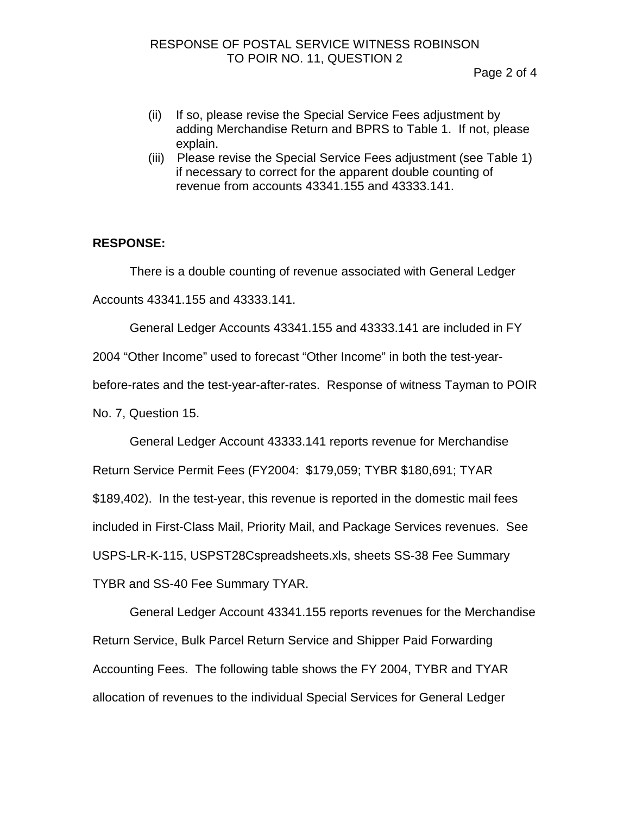- (ii) If so, please revise the Special Service Fees adjustment by adding Merchandise Return and BPRS to Table 1. If not, please explain.
- (iii) Please revise the Special Service Fees adjustment (see Table 1) if necessary to correct for the apparent double counting of revenue from accounts 43341.155 and 43333.141.

# **RESPONSE:**

There is a double counting of revenue associated with General Ledger Accounts 43341.155 and 43333.141.

General Ledger Accounts 43341.155 and 43333.141 are included in FY

2004 "Other Income" used to forecast "Other Income" in both the test-year-

before-rates and the test-year-after-rates. Response of witness Tayman to POIR

No. 7, Question 15.

General Ledger Account 43333.141 reports revenue for Merchandise Return Service Permit Fees (FY2004: \$179,059; TYBR \$180,691; TYAR \$189,402). In the test-year, this revenue is reported in the domestic mail fees included in First-Class Mail, Priority Mail, and Package Services revenues. See USPS-LR-K-115, USPST28Cspreadsheets.xls, sheets SS-38 Fee Summary TYBR and SS-40 Fee Summary TYAR.

General Ledger Account 43341.155 reports revenues for the Merchandise Return Service, Bulk Parcel Return Service and Shipper Paid Forwarding Accounting Fees. The following table shows the FY 2004, TYBR and TYAR allocation of revenues to the individual Special Services for General Ledger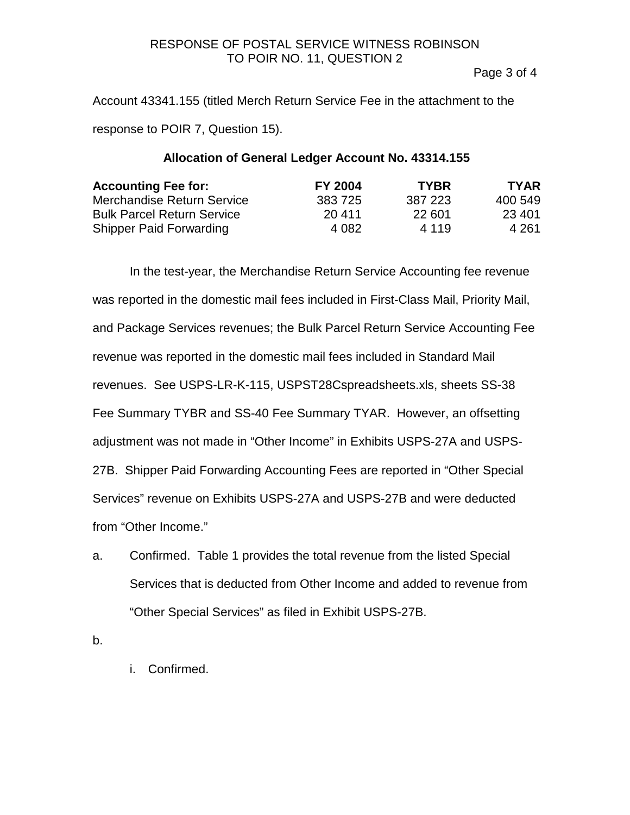### RESPONSE OF POSTAL SERVICE WITNESS ROBINSON TO POIR NO. 11, QUESTION 2

Page 3 of 4

Account 43341.155 (titled Merch Return Service Fee in the attachment to the response to POIR 7, Question 15).

# **Allocation of General Ledger Account No. 43314.155**

| <b>Accounting Fee for:</b>        | <b>FY 2004</b> | <b>TYBR</b> | <b>TYAR</b> |
|-----------------------------------|----------------|-------------|-------------|
| <b>Merchandise Return Service</b> | 383 725        | 387 223     | 400 549     |
| <b>Bulk Parcel Return Service</b> | 20 411         | 22 601      | 23 401      |
| <b>Shipper Paid Forwarding</b>    | 4 0 8 2        | 4 1 1 9     | 4 261       |

In the test-year, the Merchandise Return Service Accounting fee revenue was reported in the domestic mail fees included in First-Class Mail, Priority Mail, and Package Services revenues; the Bulk Parcel Return Service Accounting Fee revenue was reported in the domestic mail fees included in Standard Mail revenues. See USPS-LR-K-115, USPST28Cspreadsheets.xls, sheets SS-38 Fee Summary TYBR and SS-40 Fee Summary TYAR. However, an offsetting adjustment was not made in "Other Income" in Exhibits USPS-27A and USPS-27B. Shipper Paid Forwarding Accounting Fees are reported in "Other Special Services" revenue on Exhibits USPS-27A and USPS-27B and were deducted from "Other Income."

a. Confirmed. Table 1 provides the total revenue from the listed Special Services that is deducted from Other Income and added to revenue from "Other Special Services" as filed in Exhibit USPS-27B.

b.

i. Confirmed.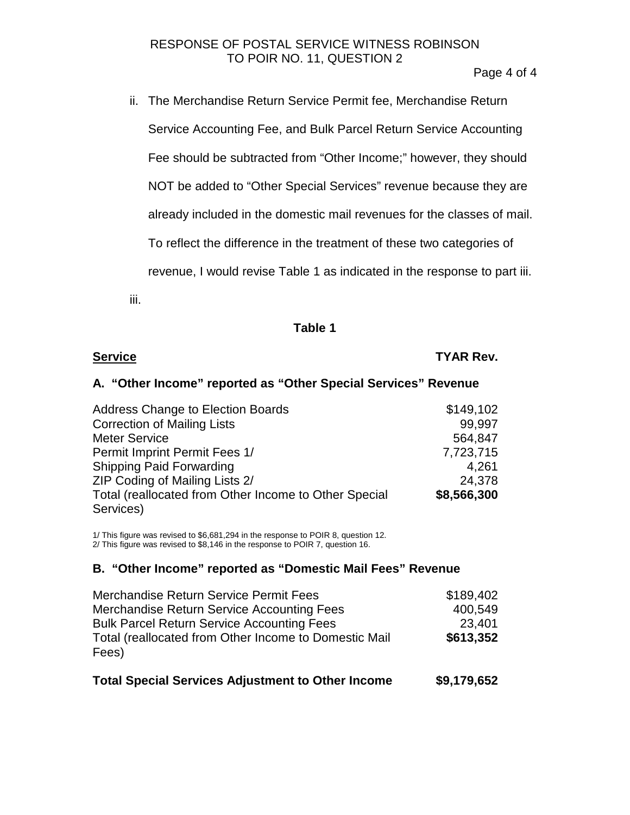# RESPONSE OF POSTAL SERVICE WITNESS ROBINSON TO POIR NO. 11, QUESTION 2

Page 4 of 4

ii. The Merchandise Return Service Permit fee, Merchandise Return Service Accounting Fee, and Bulk Parcel Return Service Accounting Fee should be subtracted from "Other Income;" however, they should NOT be added to "Other Special Services" revenue because they are already included in the domestic mail revenues for the classes of mail. To reflect the difference in the treatment of these two categories of revenue, I would revise Table 1 as indicated in the response to part iii. iii.

### **Table 1**

| <b>Service</b> | <b>TYAR Rev.</b> |
|----------------|------------------|
|                |                  |

# **A. "Other Income" reported as "Other Special Services" Revenue**

| <b>Address Change to Election Boards</b>              | \$149,102   |
|-------------------------------------------------------|-------------|
| <b>Correction of Mailing Lists</b>                    | 99,997      |
| <b>Meter Service</b>                                  | 564,847     |
| Permit Imprint Permit Fees 1/                         | 7,723,715   |
| <b>Shipping Paid Forwarding</b>                       | 4,261       |
| ZIP Coding of Mailing Lists 2/                        | 24,378      |
| Total (reallocated from Other Income to Other Special | \$8,566,300 |
| Services)                                             |             |

1/ This figure was revised to \$6,681,294 in the response to POIR 8, question 12. 2/ This figure was revised to \$8,146 in the response to POIR 7, question 16.

#### **B. "Other Income" reported as "Domestic Mail Fees" Revenue**

| Merchandise Return Service Permit Fees                | \$189,402 |
|-------------------------------------------------------|-----------|
| Merchandise Return Service Accounting Fees            | 400,549   |
| <b>Bulk Parcel Return Service Accounting Fees</b>     | 23,401    |
| Total (reallocated from Other Income to Domestic Mail | \$613,352 |
| Fees)                                                 |           |
|                                                       |           |

| Total Special Services Adjustment to Other Income | \$9,179,652 |
|---------------------------------------------------|-------------|
|---------------------------------------------------|-------------|